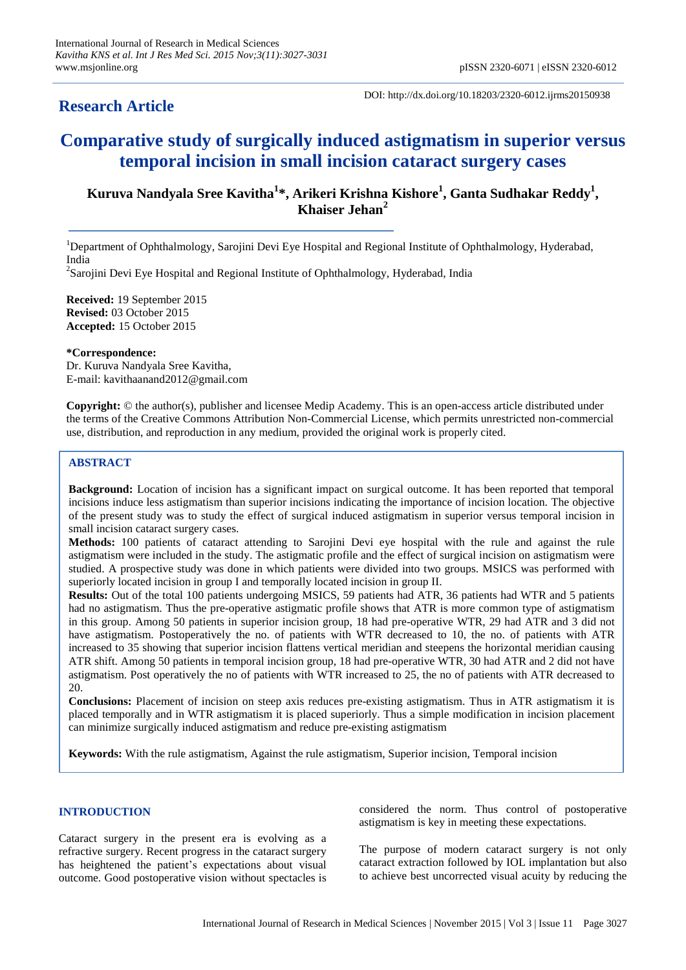# **Research Article**

DOI: http://dx.doi.org/10.18203/2320-6012.ijrms20150938

# **Comparative study of surgically induced astigmatism in superior versus temporal incision in small incision cataract surgery cases**

# **Kuruva Nandyala Sree Kavitha<sup>1</sup> \*, Arikeri Krishna Kishore<sup>1</sup> , Ganta Sudhakar Reddy<sup>1</sup> , Khaiser Jehan<sup>2</sup>**

<sup>1</sup>Department of Ophthalmology, Sarojini Devi Eye Hospital and Regional Institute of Ophthalmology, Hyderabad, India

<sup>2</sup>Sarojini Devi Eye Hospital and Regional Institute of Ophthalmology, Hyderabad, India

**Received:** 19 September 2015 **Revised:** 03 October 2015 **Accepted:** 15 October 2015

**\*Correspondence:** Dr. Kuruva Nandyala Sree Kavitha, E-mail: kavithaanand2012@gmail.com

**Copyright:** © the author(s), publisher and licensee Medip Academy. This is an open-access article distributed under the terms of the Creative Commons Attribution Non-Commercial License, which permits unrestricted non-commercial use, distribution, and reproduction in any medium, provided the original work is properly cited.

# **ABSTRACT**

**Background:** Location of incision has a significant impact on surgical outcome. It has been reported that temporal incisions induce less astigmatism than superior incisions indicating the importance of incision location. The objective of the present study was to study the effect of surgical induced astigmatism in superior versus temporal incision in small incision cataract surgery cases.

**Methods:** 100 patients of cataract attending to Sarojini Devi eye hospital with the rule and against the rule astigmatism were included in the study. The astigmatic profile and the effect of surgical incision on astigmatism were studied. A prospective study was done in which patients were divided into two groups. MSICS was performed with superiorly located incision in group I and temporally located incision in group II.

**Results:** Out of the total 100 patients undergoing MSICS, 59 patients had ATR, 36 patients had WTR and 5 patients had no astigmatism. Thus the pre-operative astigmatic profile shows that ATR is more common type of astigmatism in this group. Among 50 patients in superior incision group, 18 had pre-operative WTR, 29 had ATR and 3 did not have astigmatism. Postoperatively the no. of patients with WTR decreased to 10, the no. of patients with ATR increased to 35 showing that superior incision flattens vertical meridian and steepens the horizontal meridian causing ATR shift. Among 50 patients in temporal incision group, 18 had pre-operative WTR, 30 had ATR and 2 did not have astigmatism. Post operatively the no of patients with WTR increased to 25, the no of patients with ATR decreased to 20.

**Conclusions:** Placement of incision on steep axis reduces pre-existing astigmatism. Thus in ATR astigmatism it is placed temporally and in WTR astigmatism it is placed superiorly. Thus a simple modification in incision placement can minimize surgically induced astigmatism and reduce pre-existing astigmatism

**Keywords:** With the rule astigmatism, Against the rule astigmatism, Superior incision, Temporal incision

# **INTRODUCTION**

Cataract surgery in the present era is evolving as a refractive surgery. Recent progress in the cataract surgery has heightened the patient's expectations about visual outcome. Good postoperative vision without spectacles is considered the norm. Thus control of postoperative astigmatism is key in meeting these expectations.

The purpose of modern cataract surgery is not only cataract extraction followed by IOL implantation but also to achieve best uncorrected visual acuity by reducing the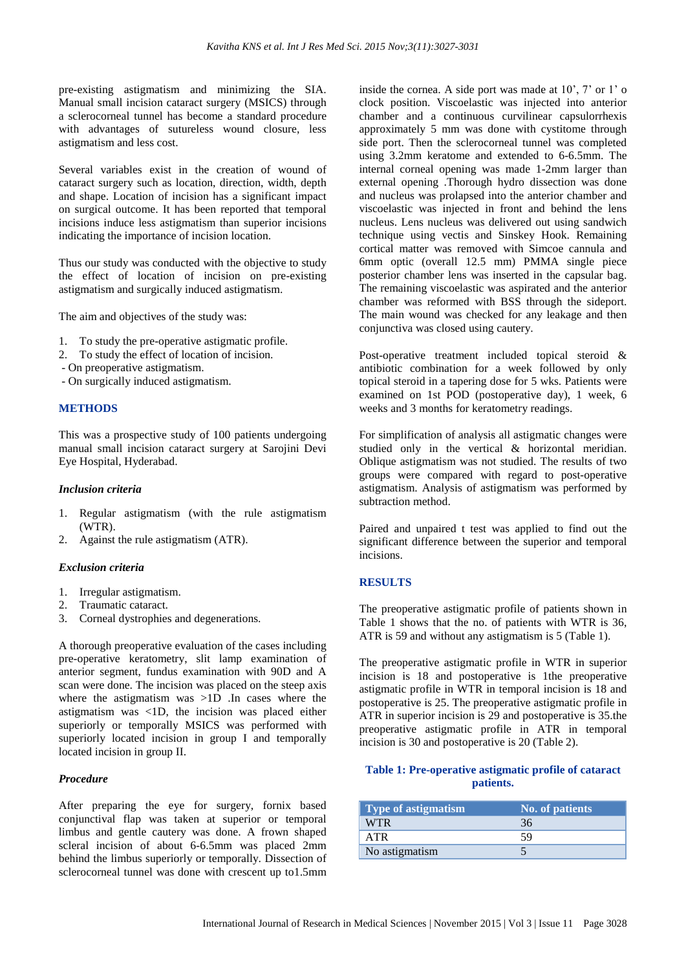pre-existing astigmatism and minimizing the SIA. Manual small incision cataract surgery (MSICS) through a sclerocorneal tunnel has become a standard procedure with advantages of sutureless wound closure, less astigmatism and less cost.

Several variables exist in the creation of wound of cataract surgery such as location, direction, width, depth and shape. Location of incision has a significant impact on surgical outcome. It has been reported that temporal incisions induce less astigmatism than superior incisions indicating the importance of incision location.

Thus our study was conducted with the objective to study the effect of location of incision on pre-existing astigmatism and surgically induced astigmatism.

The aim and objectives of the study was:

- 1. To study the pre-operative astigmatic profile.
- 2. To study the effect of location of incision.
- On preoperative astigmatism.
- On surgically induced astigmatism.

## **METHODS**

This was a prospective study of 100 patients undergoing manual small incision cataract surgery at Sarojini Devi Eye Hospital, Hyderabad.

#### *Inclusion criteria*

- 1. Regular astigmatism (with the rule astigmatism (WTR).
- 2. Against the rule astigmatism (ATR).

#### *Exclusion criteria*

- 1. Irregular astigmatism.
- 2. Traumatic cataract.
- 3. Corneal dystrophies and degenerations.

A thorough preoperative evaluation of the cases including pre-operative keratometry, slit lamp examination of anterior segment, fundus examination with 90D and A scan were done. The incision was placed on the steep axis where the astigmatism was >1D .In cases where the astigmatism was <1D, the incision was placed either superiorly or temporally MSICS was performed with superiorly located incision in group I and temporally located incision in group II.

#### *Procedure*

After preparing the eye for surgery, fornix based conjunctival flap was taken at superior or temporal limbus and gentle cautery was done. A frown shaped scleral incision of about 6-6.5mm was placed 2mm behind the limbus superiorly or temporally. Dissection of sclerocorneal tunnel was done with crescent up to1.5mm inside the cornea. A side port was made at 10', 7' or 1' o clock position. Viscoelastic was injected into anterior chamber and a continuous curvilinear capsulorrhexis approximately 5 mm was done with cystitome through side port. Then the sclerocorneal tunnel was completed using 3.2mm keratome and extended to 6-6.5mm. The internal corneal opening was made 1-2mm larger than external opening .Thorough hydro dissection was done and nucleus was prolapsed into the anterior chamber and viscoelastic was injected in front and behind the lens nucleus. Lens nucleus was delivered out using sandwich technique using vectis and Sinskey Hook. Remaining cortical matter was removed with Simcoe cannula and 6mm optic (overall 12.5 mm) PMMA single piece posterior chamber lens was inserted in the capsular bag. The remaining viscoelastic was aspirated and the anterior chamber was reformed with BSS through the sideport. The main wound was checked for any leakage and then conjunctiva was closed using cautery.

Post-operative treatment included topical steroid & antibiotic combination for a week followed by only topical steroid in a tapering dose for 5 wks. Patients were examined on 1st POD (postoperative day), 1 week, 6 weeks and 3 months for keratometry readings.

For simplification of analysis all astigmatic changes were studied only in the vertical & horizontal meridian. Oblique astigmatism was not studied. The results of two groups were compared with regard to post-operative astigmatism. Analysis of astigmatism was performed by subtraction method.

Paired and unpaired t test was applied to find out the significant difference between the superior and temporal incisions.

#### **RESULTS**

The preoperative astigmatic profile of patients shown in Table 1 shows that the no. of patients with WTR is 36, ATR is 59 and without any astigmatism is 5 (Table 1).

The preoperative astigmatic profile in WTR in superior incision is 18 and postoperative is 1the preoperative astigmatic profile in WTR in temporal incision is 18 and postoperative is 25. The preoperative astigmatic profile in ATR in superior incision is 29 and postoperative is 35.the preoperative astigmatic profile in ATR in temporal incision is 30 and postoperative is 20 (Table 2).

#### **Table 1: Pre-operative astigmatic profile of cataract patients.**

| Type of astigmatism | <b>No. of patients</b> |
|---------------------|------------------------|
| WTR.                | 36                     |
| <b>ATR</b>          | 59                     |
| No astigmatism      |                        |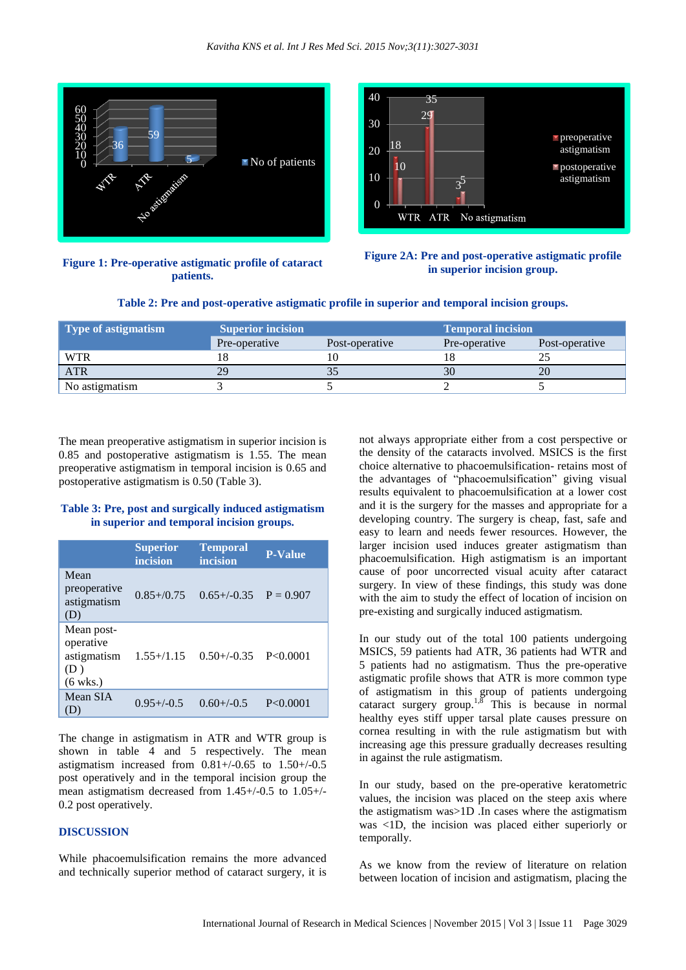

**Figure 1: Pre-operative astigmatic profile of cataract patients.**





| <b>Type of astigmatism</b> | <b>Superior incision</b> |                | Temporal incision |                |
|----------------------------|--------------------------|----------------|-------------------|----------------|
|                            | Pre-operative            | Post-operative | Pre-operative     | Post-operative |
| <b>WTR</b>                 |                          |                |                   |                |
| <b>ATR</b>                 | 29                       |                | 30                | 20             |
| No astigmatism             |                          |                |                   |                |

**Table 2: Pre and post-operative astigmatic profile in superior and temporal incision groups.**

The mean preoperative astigmatism in superior incision is 0.85 and postoperative astigmatism is 1.55. The mean preoperative astigmatism in temporal incision is 0.65 and postoperative astigmatism is 0.50 (Table 3).

## **Table 3: Pre, post and surgically induced astigmatism in superior and temporal incision groups.**

|                                                                     | <b>Superior</b><br>incision | <b>Temporal</b><br>incision | <b>P-Value</b> |
|---------------------------------------------------------------------|-----------------------------|-----------------------------|----------------|
| Mean<br>preoperative<br>astigmatism<br>(D)                          | $0.85 + / 0.75$             | $0.65+/0.35$ P = 0.907      |                |
| Mean post-<br>operative<br>astigmatism<br>(D)<br>$(6 \text{ wks.})$ | $1.55 + / 1.15$             | $0.50+/-0.35$ P<0.0001      |                |
| Mean SIA<br>D)                                                      | $0.95 + (-0.5)$             | $0.60+/-0.5$                | P < 0.0001     |

The change in astigmatism in ATR and WTR group is shown in table 4 and 5 respectively. The mean astigmatism increased from  $0.81+/0.65$  to  $1.50+/0.5$ post operatively and in the temporal incision group the mean astigmatism decreased from 1.45+/-0.5 to 1.05+/- 0.2 post operatively.

## **DISCUSSION**

While phacoemulsification remains the more advanced and technically superior method of cataract surgery, it is not always appropriate either from a cost perspective or the density of the cataracts involved. MSICS is the first choice alternative to phacoemulsification- retains most of the advantages of "phacoemulsification" giving visual results equivalent to phacoemulsification at a lower cost and it is the surgery for the masses and appropriate for a developing country. The surgery is cheap, fast, safe and easy to learn and needs fewer resources. However, the larger incision used induces greater astigmatism than phacoemulsification. High astigmatism is an important cause of poor uncorrected visual acuity after cataract surgery. In view of these findings, this study was done with the aim to study the effect of location of incision on pre-existing and surgically induced astigmatism.

In our study out of the total 100 patients undergoing MSICS, 59 patients had ATR, 36 patients had WTR and 5 patients had no astigmatism. Thus the pre-operative astigmatic profile shows that ATR is more common type of astigmatism in this group of patients undergoing cataract surgery group.<sup>1,8</sup> This is because in normal healthy eyes stiff upper tarsal plate causes pressure on cornea resulting in with the rule astigmatism but with increasing age this pressure gradually decreases resulting in against the rule astigmatism.

In our study, based on the pre-operative keratometric values, the incision was placed on the steep axis where the astigmatism was>1D .In cases where the astigmatism was <1D, the incision was placed either superiorly or temporally.

As we know from the review of literature on relation between location of incision and astigmatism, placing the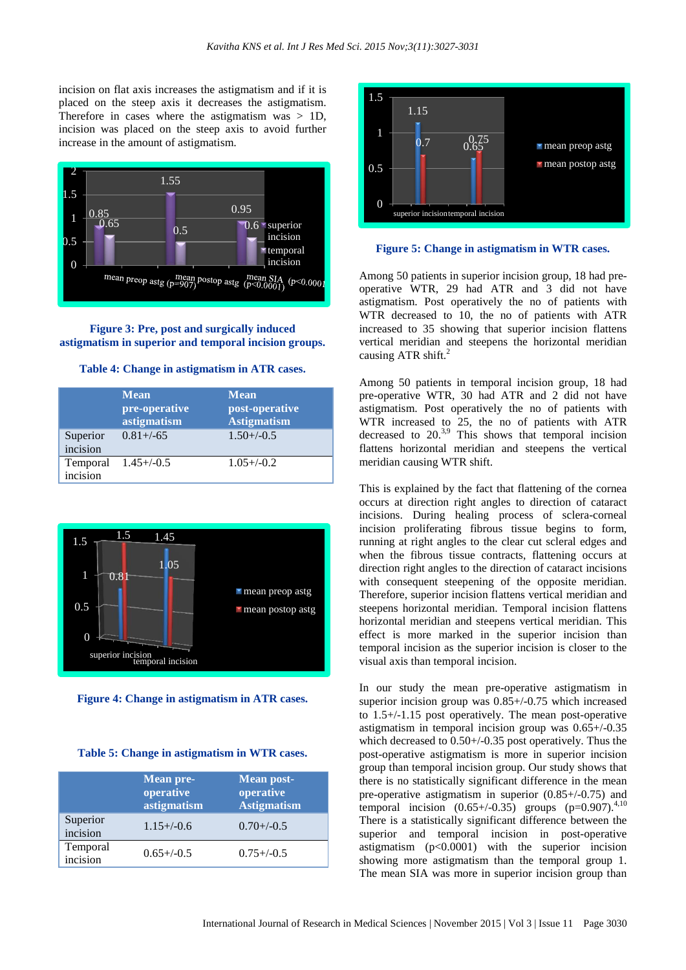incision on flat axis increases the astigmatism and if it is placed on the steep axis it decreases the astigmatism. Therefore in cases where the astigmatism was  $> 1D$ , incision was placed on the steep axis to avoid further increase in the amount of astigmatism.



**Figure 3: Pre, post and surgically induced astigmatism in superior and temporal incision groups.**

#### **Table 4: Change in astigmatism in ATR cases.**

|                      | <b>Mean</b><br>pre-operative<br>astigmatism | <b>Mean</b><br>post-operative<br><b>Astigmatism</b> |
|----------------------|---------------------------------------------|-----------------------------------------------------|
| Superior<br>incision | $0.81 + (-65)$                              | $1.50 + (-0.5)$                                     |
| Temporal<br>incision | $1.45 + (-0.5)$                             | $1.05 + (-0.2)$                                     |





#### **Table 5: Change in astigmatism in WTR cases.**

|                      | <b>Mean pre-</b><br>operative<br>astigmatism | <b>Mean post-</b><br>operative<br><b>Astigmatism</b> |
|----------------------|----------------------------------------------|------------------------------------------------------|
| Superior<br>incision | $1.15 + (-0.6)$                              | $0.70 + (-0.5)$                                      |
| Temporal<br>incision | $0.65 + (-0.5)$                              | $0.75 + (-0.5)$                                      |



**Figure 5: Change in astigmatism in WTR cases.**

Among 50 patients in superior incision group, 18 had preoperative WTR, 29 had ATR and 3 did not have astigmatism. Post operatively the no of patients with WTR decreased to 10, the no of patients with ATR increased to 35 showing that superior incision flattens vertical meridian and steepens the horizontal meridian causing ATR shift.<sup>2</sup>

Among 50 patients in temporal incision group, 18 had pre-operative WTR, 30 had ATR and 2 did not have astigmatism. Post operatively the no of patients with WTR increased to 25, the no of patients with ATR decreased to  $20^{3,9}$  This shows that temporal incision flattens horizontal meridian and steepens the vertical meridian causing WTR shift.

This is explained by the fact that flattening of the cornea occurs at direction right angles to direction of cataract incisions. During healing process of sclera-corneal incision proliferating fibrous tissue begins to form, running at right angles to the clear cut scleral edges and when the fibrous tissue contracts, flattening occurs at direction right angles to the direction of cataract incisions with consequent steepening of the opposite meridian. Therefore, superior incision flattens vertical meridian and steepens horizontal meridian. Temporal incision flattens horizontal meridian and steepens vertical meridian. This effect is more marked in the superior incision than temporal incision as the superior incision is closer to the visual axis than temporal incision.

In our study the mean pre-operative astigmatism in superior incision group was 0.85+/-0.75 which increased to 1.5+/-1.15 post operatively. The mean post-operative astigmatism in temporal incision group was 0.65+/-0.35 which decreased to 0.50+/-0.35 post operatively. Thus the post-operative astigmatism is more in superior incision group than temporal incision group. Our study shows that there is no statistically significant difference in the mean pre-operative astigmatism in superior (0.85+/-0.75) and temporal incision  $(0.65+/0.35)$  groups  $(p=0.907)$ <sup>4,10</sup> There is a statistically significant difference between the superior and temporal incision in post-operative astigmatism (p<0.0001) with the superior incision showing more astigmatism than the temporal group 1. The mean SIA was more in superior incision group than